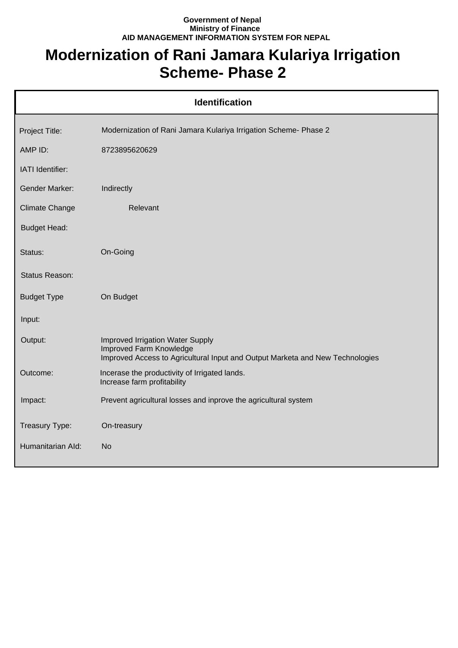## **Government of Nepal Ministry of Finance AID MANAGEMENT INFORMATION SYSTEM FOR NEPAL**

## **Modernization of Rani Jamara Kulariya Irrigation Scheme- Phase 2**

| <b>Identification</b> |                                                                                                                                              |  |
|-----------------------|----------------------------------------------------------------------------------------------------------------------------------------------|--|
| Project Title:        | Modernization of Rani Jamara Kulariya Irrigation Scheme- Phase 2                                                                             |  |
| AMP ID:               | 8723895620629                                                                                                                                |  |
| IATI Identifier:      |                                                                                                                                              |  |
| <b>Gender Marker:</b> | Indirectly                                                                                                                                   |  |
| <b>Climate Change</b> | Relevant                                                                                                                                     |  |
| <b>Budget Head:</b>   |                                                                                                                                              |  |
| Status:               | On-Going                                                                                                                                     |  |
| Status Reason:        |                                                                                                                                              |  |
| <b>Budget Type</b>    | On Budget                                                                                                                                    |  |
| Input:                |                                                                                                                                              |  |
| Output:               | Improved Irrigation Water Supply<br>Improved Farm Knowledge<br>Improved Access to Agricultural Input and Output Marketa and New Technologies |  |
| Outcome:              | Incerase the productivity of Irrigated lands.<br>Increase farm profitability                                                                 |  |
| Impact:               | Prevent agricultural losses and inprove the agricultural system                                                                              |  |
| Treasury Type:        | On-treasury                                                                                                                                  |  |
| Humanitarian Ald:     | <b>No</b>                                                                                                                                    |  |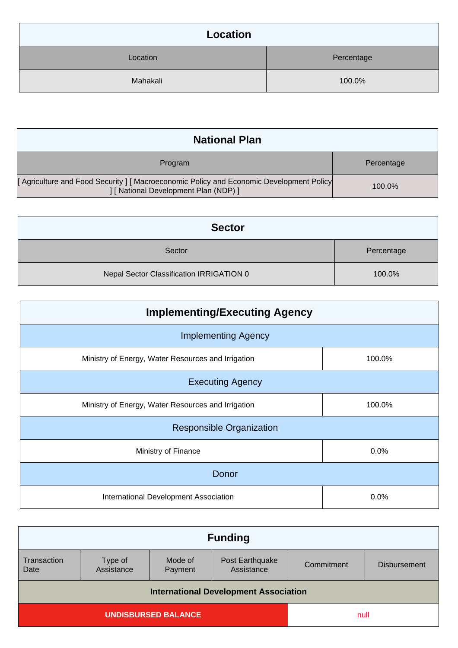| Location |            |
|----------|------------|
| Location | Percentage |
| Mahakali | 100.0%     |

| <b>National Plan</b>                                                                                                             |            |
|----------------------------------------------------------------------------------------------------------------------------------|------------|
| Program                                                                                                                          | Percentage |
| [Agriculture and Food Security ] [ Macroeconomic Policy and Economic Development Policy<br>  [ National Development Plan (NDP) ] | 100.0%     |

| <b>Sector</b>                            |            |
|------------------------------------------|------------|
| Sector                                   | Percentage |
| Nepal Sector Classification IRRIGATION 0 | 100.0%     |

| <b>Implementing/Executing Agency</b>               |        |  |
|----------------------------------------------------|--------|--|
| <b>Implementing Agency</b>                         |        |  |
| Ministry of Energy, Water Resources and Irrigation | 100.0% |  |
| <b>Executing Agency</b>                            |        |  |
| Ministry of Energy, Water Resources and Irrigation | 100.0% |  |
| <b>Responsible Organization</b>                    |        |  |
| Ministry of Finance                                | 0.0%   |  |
| Donor                                              |        |  |
| International Development Association              | 0.0%   |  |

| <b>Funding</b>                               |                       |                    |                               |            |                     |
|----------------------------------------------|-----------------------|--------------------|-------------------------------|------------|---------------------|
| Transaction<br>Date                          | Type of<br>Assistance | Mode of<br>Payment | Post Earthquake<br>Assistance | Commitment | <b>Disbursement</b> |
| <b>International Development Association</b> |                       |                    |                               |            |                     |
| <b>UNDISBURSED BALANCE</b>                   |                       | null               |                               |            |                     |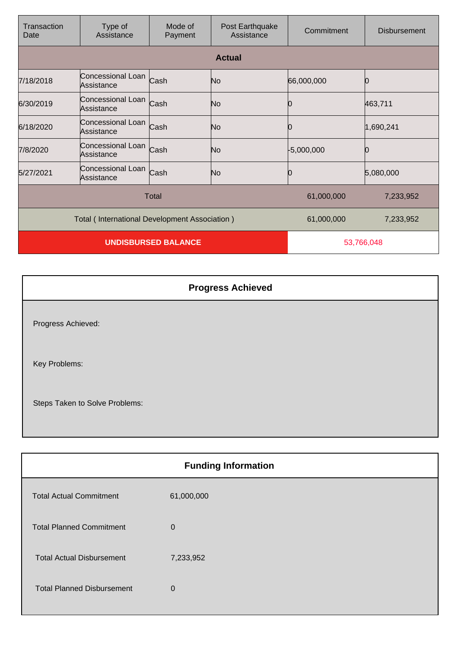| Transaction<br>Date                           | Type of<br>Assistance                | Mode of<br>Payment | Post Earthquake<br>Assistance | Commitment   | Disbursement |
|-----------------------------------------------|--------------------------------------|--------------------|-------------------------------|--------------|--------------|
|                                               |                                      |                    | <b>Actual</b>                 |              |              |
| 7/18/2018                                     | Concessional Loan Cash<br>Assistance |                    | No                            | 66,000,000   | 0            |
| 6/30/2019                                     | Concessional Loan Cash<br>Assistance |                    | No                            | 10           | 463,711      |
| 6/18/2020                                     | Concessional Loan<br>Assistance      | Cash               | No                            |              | 1,690,241    |
| 7/8/2020                                      | Concessional Loan<br>Assistance      | Cash               | No                            | $-5,000,000$ |              |
| 5/27/2021                                     | Concessional Loan Cash<br>Assistance |                    | No                            | 0            | 5,080,000    |
| Total                                         |                                      |                    | 61,000,000                    | 7,233,952    |              |
| Total (International Development Association) |                                      |                    | 61,000,000                    | 7,233,952    |              |
| <b>UNDISBURSED BALANCE</b>                    |                                      |                    | 53,766,048                    |              |              |

|                                | <b>Progress Achieved</b> |
|--------------------------------|--------------------------|
| Progress Achieved:             |                          |
| Key Problems:                  |                          |
| Steps Taken to Solve Problems: |                          |

|                                   | <b>Funding Information</b> |
|-----------------------------------|----------------------------|
| <b>Total Actual Commitment</b>    | 61,000,000                 |
| <b>Total Planned Commitment</b>   | $\Omega$                   |
| <b>Total Actual Disbursement</b>  | 7,233,952                  |
| <b>Total Planned Disbursement</b> | $\Omega$                   |
|                                   |                            |